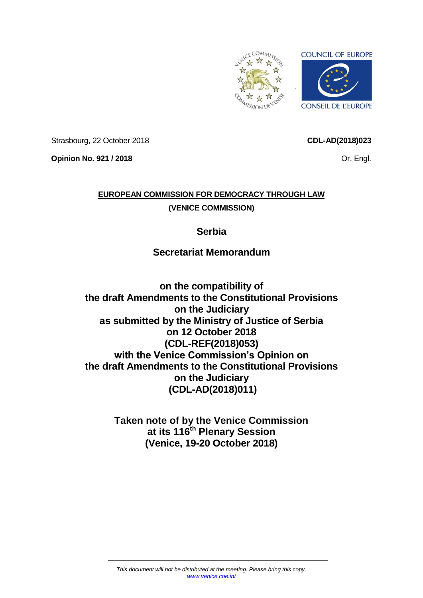

Strasbourg, 22 October 2018

**CDL-AD(2018)023**

Or. Engl.

**Opinion No. 921 / 2018**

# **EUROPEAN COMMISSION FOR DEMOCRACY THROUGH LAW (VENICE COMMISSION)**

## **Serbia**

# **Secretariat Memorandum**

**on the compatibility of the draft Amendments to the Constitutional Provisions on the Judiciary as submitted by the Ministry of Justice of Serbia on 12 October 2018 (CDL-REF(2018)053) with the Venice Commission's Opinion on the draft Amendments to the Constitutional Provisions on the Judiciary (CDL-AD(2018)011)**

> **Taken note of by the Venice Commission at its 116th Plenary Session (Venice, 19-20 October 2018)**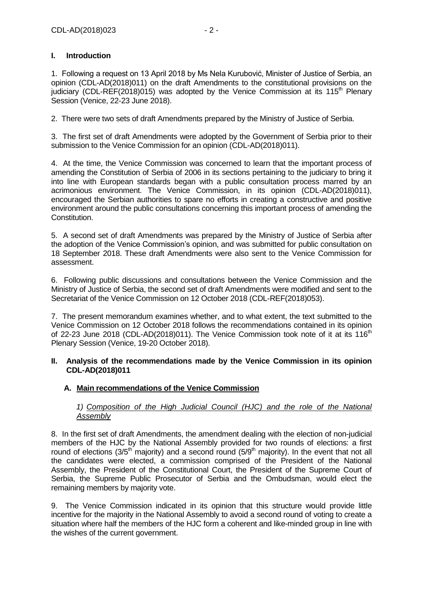## **I. Introduction**

1. Following a request on 13 April 2018 by Ms Nela Kurubović, Minister of Justice of Serbia, an opinion (CDL-AD(2018)011) on the draft Amendments to the constitutional provisions on the judiciary (CDL-REF(2018)015) was adopted by the Venice Commission at its 115<sup>th</sup> Plenary Session (Venice, 22-23 June 2018).

2. There were two sets of draft Amendments prepared by the Ministry of Justice of Serbia.

3. The first set of draft Amendments were adopted by the Government of Serbia prior to their submission to the Venice Commission for an opinion (CDL-AD(2018)011).

4. At the time, the Venice Commission was concerned to learn that the important process of amending the Constitution of Serbia of 2006 in its sections pertaining to the judiciary to bring it into line with European standards began with a public consultation process marred by an acrimonious environment. The Venice Commission, in its opinion (CDL-AD(2018)011), encouraged the Serbian authorities to spare no efforts in creating a constructive and positive environment around the public consultations concerning this important process of amending the Constitution.

5. A second set of draft Amendments was prepared by the Ministry of Justice of Serbia after the adoption of the Venice Commission's opinion, and was submitted for public consultation on 18 September 2018. These draft Amendments were also sent to the Venice Commission for assessment.

6. Following public discussions and consultations between the Venice Commission and the Ministry of Justice of Serbia, the second set of draft Amendments were modified and sent to the Secretariat of the Venice Commission on 12 October 2018 (CDL-REF(2018)053).

7. The present memorandum examines whether, and to what extent, the text submitted to the Venice Commission on 12 October 2018 follows the recommendations contained in its opinion of 22-23 June 2018 (CDL-AD(2018)011). The Venice Commission took note of it at its 116<sup>th</sup> Plenary Session (Venice, 19-20 October 2018).

#### **II. Analysis of the recommendations made by the Venice Commission in its opinion CDL-AD(2018)011**

## **A. Main recommendations of the Venice Commission**

## *1) Composition of the High Judicial Council (HJC) and the role of the National Assembly*

8. In the first set of draft Amendments, the amendment dealing with the election of non-judicial members of the HJC by the National Assembly provided for two rounds of elections: a first round of elections ( $3/5<sup>th</sup>$  majority) and a second round ( $5/9<sup>th</sup>$  majority). In the event that not all the candidates were elected, a commission comprised of the President of the National Assembly, the President of the Constitutional Court, the President of the Supreme Court of Serbia, the Supreme Public Prosecutor of Serbia and the Ombudsman, would elect the remaining members by majority vote.

9. The Venice Commission indicated in its opinion that this structure would provide little incentive for the majority in the National Assembly to avoid a second round of voting to create a situation where half the members of the HJC form a coherent and like-minded group in line with the wishes of the current government.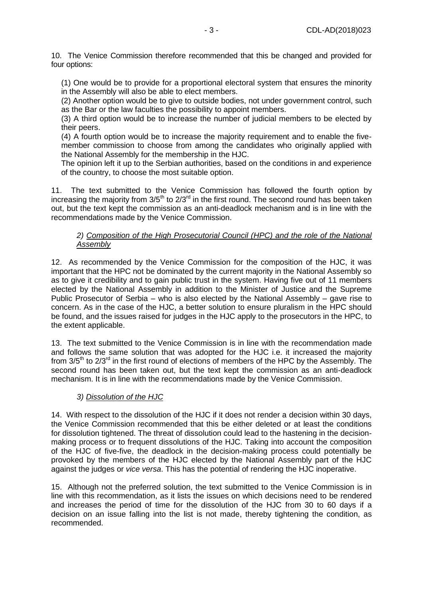10. The Venice Commission therefore recommended that this be changed and provided for four options:

(1) One would be to provide for a proportional electoral system that ensures the minority in the Assembly will also be able to elect members.

(2) Another option would be to give to outside bodies, not under government control, such as the Bar or the law faculties the possibility to appoint members.

(3) A third option would be to increase the number of judicial members to be elected by their peers.

(4) A fourth option would be to increase the majority requirement and to enable the fivemember commission to choose from among the candidates who originally applied with the National Assembly for the membership in the HJC.

The opinion left it up to the Serbian authorities, based on the conditions in and experience of the country, to choose the most suitable option.

11. The text submitted to the Venice Commission has followed the fourth option by increasing the majority from  $3/5<sup>th</sup>$  to  $2/3<sup>rd</sup>$  in the first round. The second round has been taken out, but the text kept the commission as an anti-deadlock mechanism and is in line with the recommendations made by the Venice Commission.

## *2) Composition of the High Prosecutorial Council (HPC) and the role of the National Assembly*

12. As recommended by the Venice Commission for the composition of the HJC, it was important that the HPC not be dominated by the current majority in the National Assembly so as to give it credibility and to gain public trust in the system. Having five out of 11 members elected by the National Assembly in addition to the Minister of Justice and the Supreme Public Prosecutor of Serbia – who is also elected by the National Assembly – gave rise to concern. As in the case of the HJC, a better solution to ensure pluralism in the HPC should be found, and the issues raised for judges in the HJC apply to the prosecutors in the HPC, to the extent applicable.

13. The text submitted to the Venice Commission is in line with the recommendation made and follows the same solution that was adopted for the HJC i.e. it increased the majority from  $3/5$ <sup>th</sup> to  $2/3$ <sup>rd</sup> in the first round of elections of members of the HPC by the Assembly. The second round has been taken out, but the text kept the commission as an anti-deadlock mechanism. It is in line with the recommendations made by the Venice Commission.

## *3) Dissolution of the HJC*

14. With respect to the dissolution of the HJC if it does not render a decision within 30 days, the Venice Commission recommended that this be either deleted or at least the conditions for dissolution tightened. The threat of dissolution could lead to the hastening in the decisionmaking process or to frequent dissolutions of the HJC. Taking into account the composition of the HJC of five-five, the deadlock in the decision-making process could potentially be provoked by the members of the HJC elected by the National Assembly part of the HJC against the judges or *vice versa*. This has the potential of rendering the HJC inoperative.

15. Although not the preferred solution, the text submitted to the Venice Commission is in line with this recommendation, as it lists the issues on which decisions need to be rendered and increases the period of time for the dissolution of the HJC from 30 to 60 days if a decision on an issue falling into the list is not made, thereby tightening the condition, as recommended.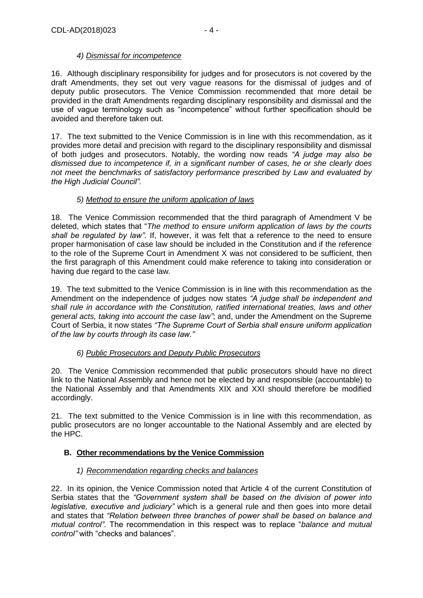## *4) Dismissal for incompetence*

16. Although disciplinary responsibility for judges and for prosecutors is not covered by the draft Amendments, they set out very vague reasons for the dismissal of judges and of deputy public prosecutors. The Venice Commission recommended that more detail be provided in the draft Amendments regarding disciplinary responsibility and dismissal and the use of vague terminology such as "incompetence" without further specification should be avoided and therefore taken out.

17. The text submitted to the Venice Commission is in line with this recommendation, as it provides more detail and precision with regard to the disciplinary responsibility and dismissal of both judges and prosecutors. Notably, the wording now reads *"A judge may also be dismissed due to incompetence if, in a significant number of cases, he or she clearly does not meet the benchmarks of satisfactory performance prescribed by Law and evaluated by the High Judicial Council".*

## *5) Method to ensure the uniform application of laws*

18. The Venice Commission recommended that the third paragraph of Amendment V be deleted, which states that "*The method to ensure uniform application of laws by the courts shall be regulated by law"*. If, however, it was felt that a reference to the need to ensure proper harmonisation of case law should be included in the Constitution and if the reference to the role of the Supreme Court in Amendment X was not considered to be sufficient, then the first paragraph of this Amendment could make reference to taking into consideration or having due regard to the case law.

19. The text submitted to the Venice Commission is in line with this recommendation as the Amendment on the independence of judges now states *"A judge shall be independent and shall rule in accordance with the Constitution, ratified international treaties, laws and other general acts, taking into account the case law"*; and, under the Amendment on the Supreme Court of Serbia, it now states *"The Supreme Court of Serbia shall ensure uniform application of the law by courts through its case law."*

## *6) Public Prosecutors and Deputy Public Prosecutors*

20. The Venice Commission recommended that public prosecutors should have no direct link to the National Assembly and hence not be elected by and responsible (accountable) to the National Assembly and that Amendments XIX and XXI should therefore be modified accordingly.

21. The text submitted to the Venice Commission is in line with this recommendation, as public prosecutors are no longer accountable to the National Assembly and are elected by the HPC.

## **B. Other recommendations by the Venice Commission**

## *1) Recommendation regarding checks and balances*

22. In its opinion, the Venice Commission noted that Article 4 of the current Constitution of Serbia states that the *"Government system shall be based on the division of power into legislative, executive and judiciary"* which is a general rule and then goes into more detail and states that *"Relation between three branches of power shall be based on balance and mutual control"*. The recommendation in this respect was to replace "*balance and mutual control"* with "checks and balances".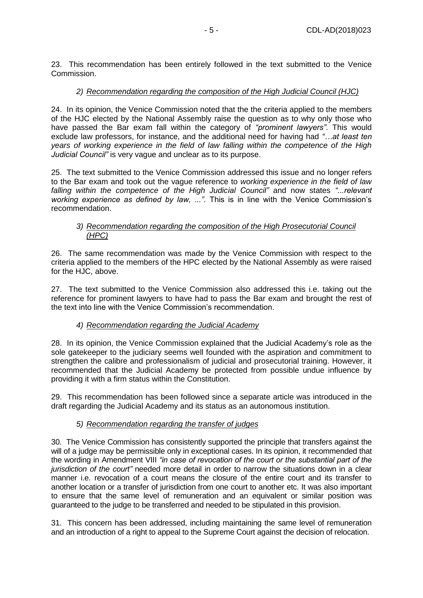23. This recommendation has been entirely followed in the text submitted to the Venice Commission.

## *2) Recommendation regarding the composition of the High Judicial Council (HJC)*

24. In its opinion, the Venice Commission noted that the the criteria applied to the members of the HJC elected by the National Assembly raise the question as to why only those who have passed the Bar exam fall within the category of *"prominent lawyers"*. This would exclude law professors, for instance, and the additional need for having had *"…at least ten years of working experience in the field of law falling within the competence of the High Judicial Council"* is very vague and unclear as to its purpose.

25. The text submitted to the Venice Commission addressed this issue and no longer refers to the Bar exam and took out the vague reference to *working experience in the field of law falling within the competence of the High Judicial Council"* and now states *"...relevant working experience as defined by law, ..."*. This is in line with the Venice Commission's recommendation.

#### *3) Recommendation regarding the composition of the High Prosecutorial Council (HPC)*

26. The same recommendation was made by the Venice Commission with respect to the criteria applied to the members of the HPC elected by the National Assembly as were raised for the HJC, above.

27. The text submitted to the Venice Commission also addressed this i.e. taking out the reference for prominent lawyers to have had to pass the Bar exam and brought the rest of the text into line with the Venice Commission's recommendation.

## *4) Recommendation regarding the Judicial Academy*

28. In its opinion, the Venice Commission explained that the Judicial Academy's role as the sole gatekeeper to the judiciary seems well founded with the aspiration and commitment to strengthen the calibre and professionalism of judicial and prosecutorial training. However, it recommended that the Judicial Academy be protected from possible undue influence by providing it with a firm status within the Constitution.

29. This recommendation has been followed since a separate article was introduced in the draft regarding the Judicial Academy and its status as an autonomous institution.

## *5) Recommendation regarding the transfer of judges*

30. The Venice Commission has consistently supported the principle that transfers against the will of a judge may be permissible only in exceptional cases. In its opinion, it recommended that the wording in Amendment VIII *"in case of revocation of the court or the substantial part of the jurisdiction of the court"* needed more detail in order to narrow the situations down in a clear manner i.e. revocation of a court means the closure of the entire court and its transfer to another location or a transfer of jurisdiction from one court to another etc. It was also important to ensure that the same level of remuneration and an equivalent or similar position was guaranteed to the judge to be transferred and needed to be stipulated in this provision.

31. This concern has been addressed, including maintaining the same level of remuneration and an introduction of a right to appeal to the Supreme Court against the decision of relocation.